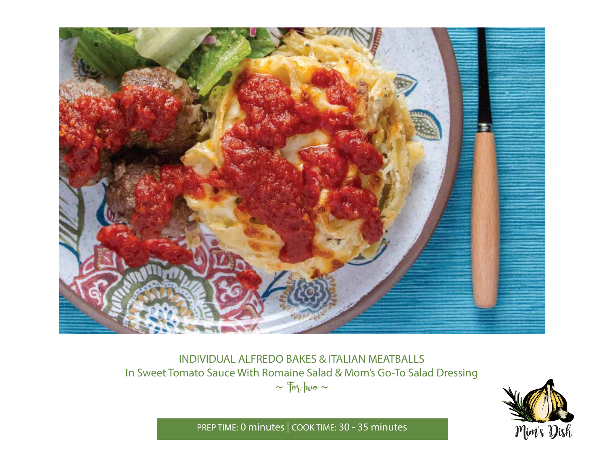

## INDIVIDUAL ALFREDO BAKES & ITALIAN MEATBALLS In Sweet Tomato Sauce With Romaine Salad & Mom's Go-To Salad Dressing  $\sim$   $70\%$  Two  $\sim$



PREP TIME: **0 minutes** | COOK TIME: **30 - 35 minutes**